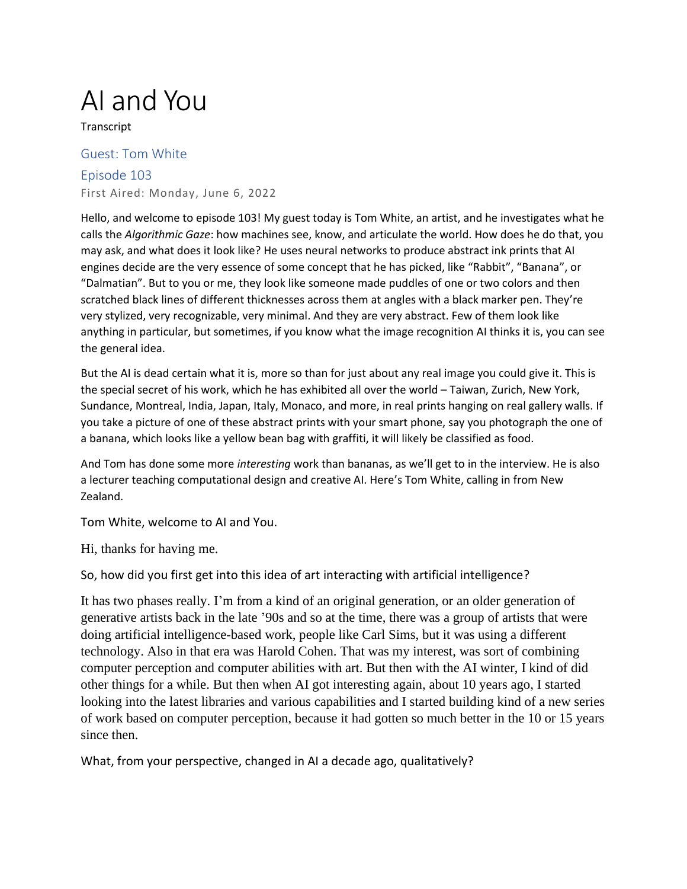## AI and You

**Transcript** 

## Guest: Tom White Episode 103 First Aired: Monday, June 6, 2022

Hello, and welcome to episode 103! My guest today is Tom White, an artist, and he investigates what he calls the *Algorithmic Gaze*: how machines see, know, and articulate the world. How does he do that, you may ask, and what does it look like? He uses neural networks to produce abstract ink prints that AI engines decide are the very essence of some concept that he has picked, like "Rabbit", "Banana", or "Dalmatian". But to you or me, they look like someone made puddles of one or two colors and then scratched black lines of different thicknesses across them at angles with a black marker pen. They're very stylized, very recognizable, very minimal. And they are very abstract. Few of them look like anything in particular, but sometimes, if you know what the image recognition AI thinks it is, you can see the general idea.

But the AI is dead certain what it is, more so than for just about any real image you could give it. This is the special secret of his work, which he has exhibited all over the world – Taiwan, Zurich, New York, Sundance, Montreal, India, Japan, Italy, Monaco, and more, in real prints hanging on real gallery walls. If you take a picture of one of these abstract prints with your smart phone, say you photograph the one of a banana, which looks like a yellow bean bag with graffiti, it will likely be classified as food.

And Tom has done some more *interesting* work than bananas, as we'll get to in the interview. He is also a lecturer teaching computational design and creative AI. Here's Tom White, calling in from New Zealand.

Tom White, welcome to AI and You.

Hi, thanks for having me.

So, how did you first get into this idea of art interacting with artificial intelligence?

It has two phases really. I'm from a kind of an original generation, or an older generation of generative artists back in the late '90s and so at the time, there was a group of artists that were doing artificial intelligence-based work, people like Carl Sims, but it was using a different technology. Also in that era was Harold Cohen. That was my interest, was sort of combining computer perception and computer abilities with art. But then with the AI winter, I kind of did other things for a while. But then when AI got interesting again, about 10 years ago, I started looking into the latest libraries and various capabilities and I started building kind of a new series of work based on computer perception, because it had gotten so much better in the 10 or 15 years since then.

What, from your perspective, changed in AI a decade ago, qualitatively?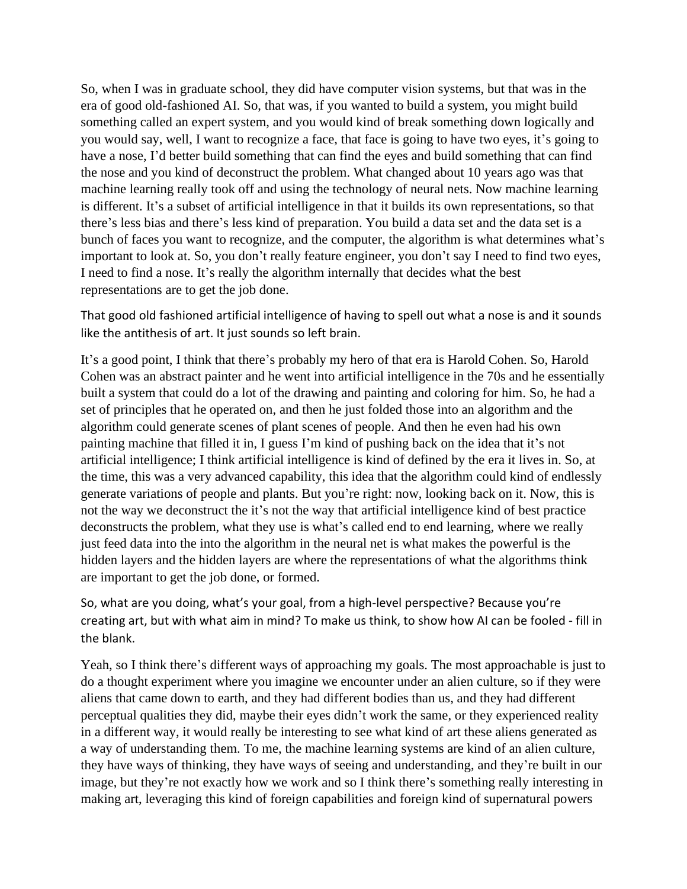So, when I was in graduate school, they did have computer vision systems, but that was in the era of good old-fashioned AI. So, that was, if you wanted to build a system, you might build something called an expert system, and you would kind of break something down logically and you would say, well, I want to recognize a face, that face is going to have two eyes, it's going to have a nose, I'd better build something that can find the eyes and build something that can find the nose and you kind of deconstruct the problem. What changed about 10 years ago was that machine learning really took off and using the technology of neural nets. Now machine learning is different. It's a subset of artificial intelligence in that it builds its own representations, so that there's less bias and there's less kind of preparation. You build a data set and the data set is a bunch of faces you want to recognize, and the computer, the algorithm is what determines what's important to look at. So, you don't really feature engineer, you don't say I need to find two eyes, I need to find a nose. It's really the algorithm internally that decides what the best representations are to get the job done.

That good old fashioned artificial intelligence of having to spell out what a nose is and it sounds like the antithesis of art. It just sounds so left brain.

It's a good point, I think that there's probably my hero of that era is Harold Cohen. So, Harold Cohen was an abstract painter and he went into artificial intelligence in the 70s and he essentially built a system that could do a lot of the drawing and painting and coloring for him. So, he had a set of principles that he operated on, and then he just folded those into an algorithm and the algorithm could generate scenes of plant scenes of people. And then he even had his own painting machine that filled it in, I guess I'm kind of pushing back on the idea that it's not artificial intelligence; I think artificial intelligence is kind of defined by the era it lives in. So, at the time, this was a very advanced capability, this idea that the algorithm could kind of endlessly generate variations of people and plants. But you're right: now, looking back on it. Now, this is not the way we deconstruct the it's not the way that artificial intelligence kind of best practice deconstructs the problem, what they use is what's called end to end learning, where we really just feed data into the into the algorithm in the neural net is what makes the powerful is the hidden layers and the hidden layers are where the representations of what the algorithms think are important to get the job done, or formed.

So, what are you doing, what's your goal, from a high-level perspective? Because you're creating art, but with what aim in mind? To make us think, to show how AI can be fooled - fill in the blank.

Yeah, so I think there's different ways of approaching my goals. The most approachable is just to do a thought experiment where you imagine we encounter under an alien culture, so if they were aliens that came down to earth, and they had different bodies than us, and they had different perceptual qualities they did, maybe their eyes didn't work the same, or they experienced reality in a different way, it would really be interesting to see what kind of art these aliens generated as a way of understanding them. To me, the machine learning systems are kind of an alien culture, they have ways of thinking, they have ways of seeing and understanding, and they're built in our image, but they're not exactly how we work and so I think there's something really interesting in making art, leveraging this kind of foreign capabilities and foreign kind of supernatural powers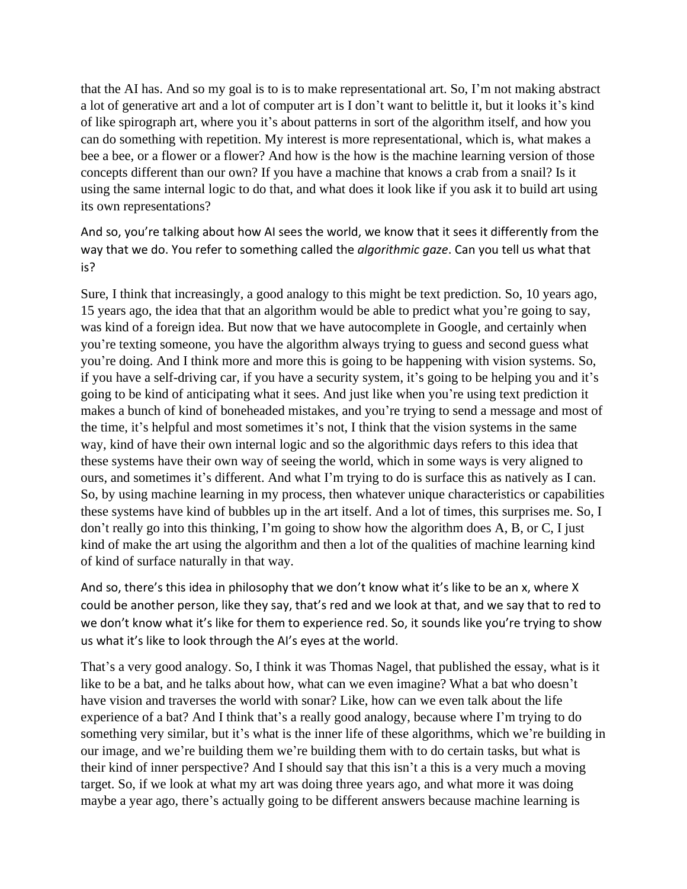that the AI has. And so my goal is to is to make representational art. So, I'm not making abstract a lot of generative art and a lot of computer art is I don't want to belittle it, but it looks it's kind of like spirograph art, where you it's about patterns in sort of the algorithm itself, and how you can do something with repetition. My interest is more representational, which is, what makes a bee a bee, or a flower or a flower? And how is the how is the machine learning version of those concepts different than our own? If you have a machine that knows a crab from a snail? Is it using the same internal logic to do that, and what does it look like if you ask it to build art using its own representations?

And so, you're talking about how AI sees the world, we know that it sees it differently from the way that we do. You refer to something called the *algorithmic gaze*. Can you tell us what that is?

Sure, I think that increasingly, a good analogy to this might be text prediction. So, 10 years ago, 15 years ago, the idea that that an algorithm would be able to predict what you're going to say, was kind of a foreign idea. But now that we have autocomplete in Google, and certainly when you're texting someone, you have the algorithm always trying to guess and second guess what you're doing. And I think more and more this is going to be happening with vision systems. So, if you have a self-driving car, if you have a security system, it's going to be helping you and it's going to be kind of anticipating what it sees. And just like when you're using text prediction it makes a bunch of kind of boneheaded mistakes, and you're trying to send a message and most of the time, it's helpful and most sometimes it's not, I think that the vision systems in the same way, kind of have their own internal logic and so the algorithmic days refers to this idea that these systems have their own way of seeing the world, which in some ways is very aligned to ours, and sometimes it's different. And what I'm trying to do is surface this as natively as I can. So, by using machine learning in my process, then whatever unique characteristics or capabilities these systems have kind of bubbles up in the art itself. And a lot of times, this surprises me. So, I don't really go into this thinking, I'm going to show how the algorithm does A, B, or C, I just kind of make the art using the algorithm and then a lot of the qualities of machine learning kind of kind of surface naturally in that way.

And so, there's this idea in philosophy that we don't know what it's like to be an x, where X could be another person, like they say, that's red and we look at that, and we say that to red to we don't know what it's like for them to experience red. So, it sounds like you're trying to show us what it's like to look through the AI's eyes at the world.

That's a very good analogy. So, I think it was Thomas Nagel, that published the essay, what is it like to be a bat, and he talks about how, what can we even imagine? What a bat who doesn't have vision and traverses the world with sonar? Like, how can we even talk about the life experience of a bat? And I think that's a really good analogy, because where I'm trying to do something very similar, but it's what is the inner life of these algorithms, which we're building in our image, and we're building them we're building them with to do certain tasks, but what is their kind of inner perspective? And I should say that this isn't a this is a very much a moving target. So, if we look at what my art was doing three years ago, and what more it was doing maybe a year ago, there's actually going to be different answers because machine learning is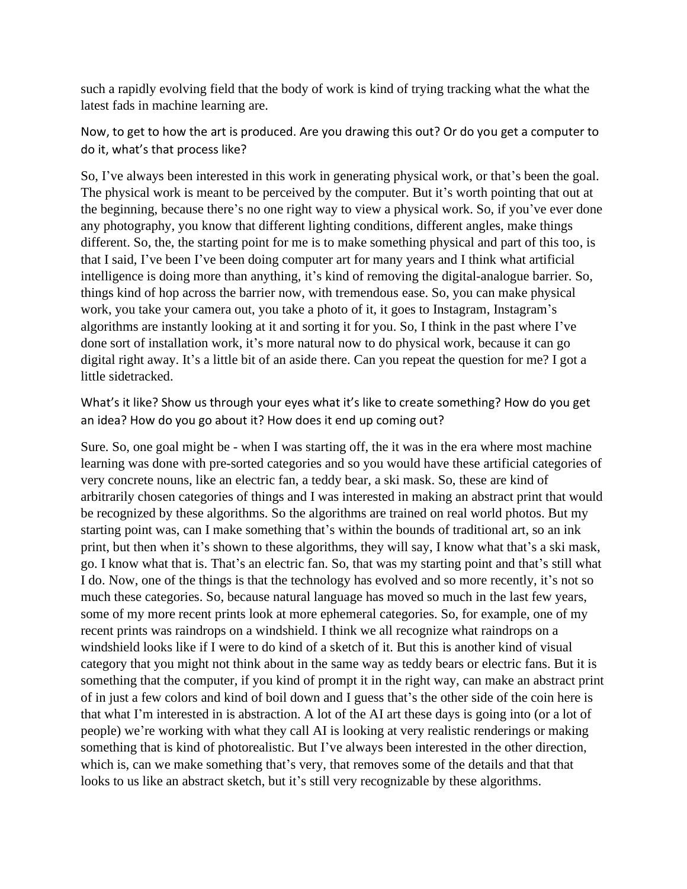such a rapidly evolving field that the body of work is kind of trying tracking what the what the latest fads in machine learning are.

Now, to get to how the art is produced. Are you drawing this out? Or do you get a computer to do it, what's that process like?

So, I've always been interested in this work in generating physical work, or that's been the goal. The physical work is meant to be perceived by the computer. But it's worth pointing that out at the beginning, because there's no one right way to view a physical work. So, if you've ever done any photography, you know that different lighting conditions, different angles, make things different. So, the, the starting point for me is to make something physical and part of this too, is that I said, I've been I've been doing computer art for many years and I think what artificial intelligence is doing more than anything, it's kind of removing the digital-analogue barrier. So, things kind of hop across the barrier now, with tremendous ease. So, you can make physical work, you take your camera out, you take a photo of it, it goes to Instagram, Instagram's algorithms are instantly looking at it and sorting it for you. So, I think in the past where I've done sort of installation work, it's more natural now to do physical work, because it can go digital right away. It's a little bit of an aside there. Can you repeat the question for me? I got a little sidetracked.

What's it like? Show us through your eyes what it's like to create something? How do you get an idea? How do you go about it? How does it end up coming out?

Sure. So, one goal might be - when I was starting off, the it was in the era where most machine learning was done with pre-sorted categories and so you would have these artificial categories of very concrete nouns, like an electric fan, a teddy bear, a ski mask. So, these are kind of arbitrarily chosen categories of things and I was interested in making an abstract print that would be recognized by these algorithms. So the algorithms are trained on real world photos. But my starting point was, can I make something that's within the bounds of traditional art, so an ink print, but then when it's shown to these algorithms, they will say, I know what that's a ski mask, go. I know what that is. That's an electric fan. So, that was my starting point and that's still what I do. Now, one of the things is that the technology has evolved and so more recently, it's not so much these categories. So, because natural language has moved so much in the last few years, some of my more recent prints look at more ephemeral categories. So, for example, one of my recent prints was raindrops on a windshield. I think we all recognize what raindrops on a windshield looks like if I were to do kind of a sketch of it. But this is another kind of visual category that you might not think about in the same way as teddy bears or electric fans. But it is something that the computer, if you kind of prompt it in the right way, can make an abstract print of in just a few colors and kind of boil down and I guess that's the other side of the coin here is that what I'm interested in is abstraction. A lot of the AI art these days is going into (or a lot of people) we're working with what they call AI is looking at very realistic renderings or making something that is kind of photorealistic. But I've always been interested in the other direction, which is, can we make something that's very, that removes some of the details and that that looks to us like an abstract sketch, but it's still very recognizable by these algorithms.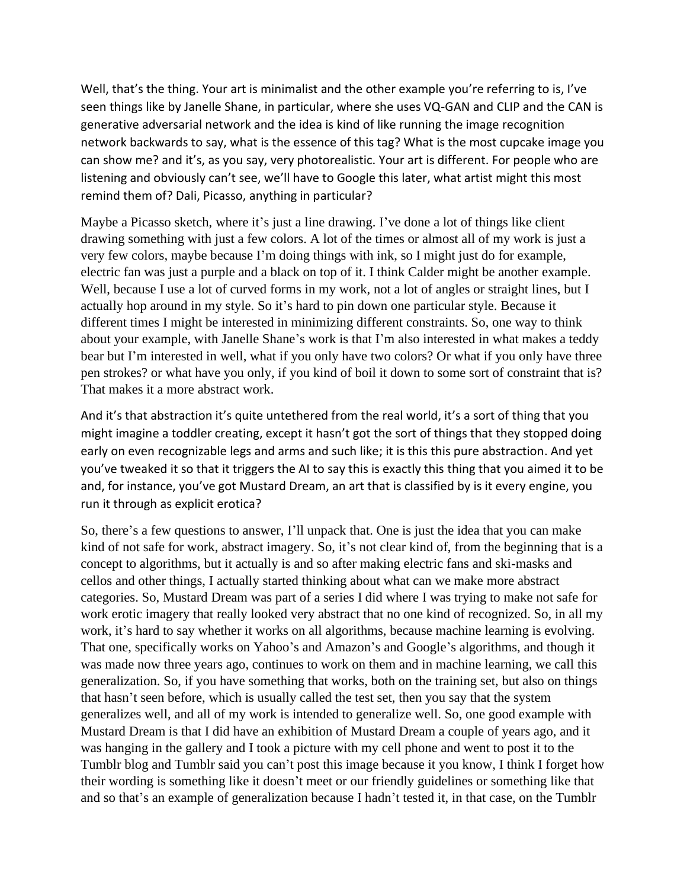Well, that's the thing. Your art is minimalist and the other example you're referring to is, I've seen things like by Janelle Shane, in particular, where she uses VQ-GAN and CLIP and the CAN is generative adversarial network and the idea is kind of like running the image recognition network backwards to say, what is the essence of this tag? What is the most cupcake image you can show me? and it's, as you say, very photorealistic. Your art is different. For people who are listening and obviously can't see, we'll have to Google this later, what artist might this most remind them of? Dali, Picasso, anything in particular?

Maybe a Picasso sketch, where it's just a line drawing. I've done a lot of things like client drawing something with just a few colors. A lot of the times or almost all of my work is just a very few colors, maybe because I'm doing things with ink, so I might just do for example, electric fan was just a purple and a black on top of it. I think Calder might be another example. Well, because I use a lot of curved forms in my work, not a lot of angles or straight lines, but I actually hop around in my style. So it's hard to pin down one particular style. Because it different times I might be interested in minimizing different constraints. So, one way to think about your example, with Janelle Shane's work is that I'm also interested in what makes a teddy bear but I'm interested in well, what if you only have two colors? Or what if you only have three pen strokes? or what have you only, if you kind of boil it down to some sort of constraint that is? That makes it a more abstract work.

And it's that abstraction it's quite untethered from the real world, it's a sort of thing that you might imagine a toddler creating, except it hasn't got the sort of things that they stopped doing early on even recognizable legs and arms and such like; it is this this pure abstraction. And yet you've tweaked it so that it triggers the AI to say this is exactly this thing that you aimed it to be and, for instance, you've got Mustard Dream, an art that is classified by is it every engine, you run it through as explicit erotica?

So, there's a few questions to answer, I'll unpack that. One is just the idea that you can make kind of not safe for work, abstract imagery. So, it's not clear kind of, from the beginning that is a concept to algorithms, but it actually is and so after making electric fans and ski-masks and cellos and other things, I actually started thinking about what can we make more abstract categories. So, Mustard Dream was part of a series I did where I was trying to make not safe for work erotic imagery that really looked very abstract that no one kind of recognized. So, in all my work, it's hard to say whether it works on all algorithms, because machine learning is evolving. That one, specifically works on Yahoo's and Amazon's and Google's algorithms, and though it was made now three years ago, continues to work on them and in machine learning, we call this generalization. So, if you have something that works, both on the training set, but also on things that hasn't seen before, which is usually called the test set, then you say that the system generalizes well, and all of my work is intended to generalize well. So, one good example with Mustard Dream is that I did have an exhibition of Mustard Dream a couple of years ago, and it was hanging in the gallery and I took a picture with my cell phone and went to post it to the Tumblr blog and Tumblr said you can't post this image because it you know, I think I forget how their wording is something like it doesn't meet or our friendly guidelines or something like that and so that's an example of generalization because I hadn't tested it, in that case, on the Tumblr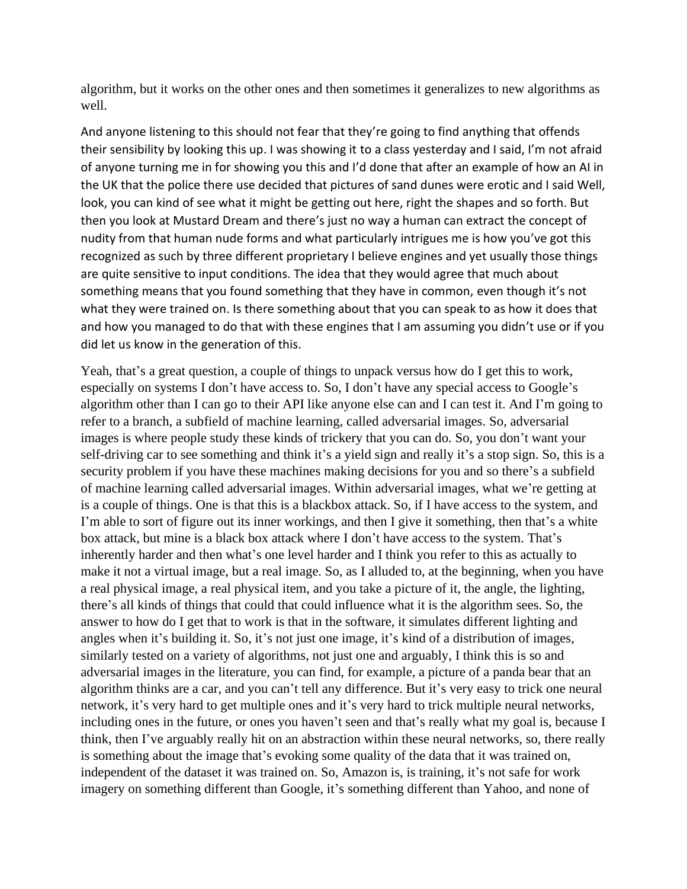algorithm, but it works on the other ones and then sometimes it generalizes to new algorithms as well.

And anyone listening to this should not fear that they're going to find anything that offends their sensibility by looking this up. I was showing it to a class yesterday and I said, I'm not afraid of anyone turning me in for showing you this and I'd done that after an example of how an AI in the UK that the police there use decided that pictures of sand dunes were erotic and I said Well, look, you can kind of see what it might be getting out here, right the shapes and so forth. But then you look at Mustard Dream and there's just no way a human can extract the concept of nudity from that human nude forms and what particularly intrigues me is how you've got this recognized as such by three different proprietary I believe engines and yet usually those things are quite sensitive to input conditions. The idea that they would agree that much about something means that you found something that they have in common, even though it's not what they were trained on. Is there something about that you can speak to as how it does that and how you managed to do that with these engines that I am assuming you didn't use or if you did let us know in the generation of this.

Yeah, that's a great question, a couple of things to unpack versus how do I get this to work, especially on systems I don't have access to. So, I don't have any special access to Google's algorithm other than I can go to their API like anyone else can and I can test it. And I'm going to refer to a branch, a subfield of machine learning, called adversarial images. So, adversarial images is where people study these kinds of trickery that you can do. So, you don't want your self-driving car to see something and think it's a yield sign and really it's a stop sign. So, this is a security problem if you have these machines making decisions for you and so there's a subfield of machine learning called adversarial images. Within adversarial images, what we're getting at is a couple of things. One is that this is a blackbox attack. So, if I have access to the system, and I'm able to sort of figure out its inner workings, and then I give it something, then that's a white box attack, but mine is a black box attack where I don't have access to the system. That's inherently harder and then what's one level harder and I think you refer to this as actually to make it not a virtual image, but a real image. So, as I alluded to, at the beginning, when you have a real physical image, a real physical item, and you take a picture of it, the angle, the lighting, there's all kinds of things that could that could influence what it is the algorithm sees. So, the answer to how do I get that to work is that in the software, it simulates different lighting and angles when it's building it. So, it's not just one image, it's kind of a distribution of images, similarly tested on a variety of algorithms, not just one and arguably, I think this is so and adversarial images in the literature, you can find, for example, a picture of a panda bear that an algorithm thinks are a car, and you can't tell any difference. But it's very easy to trick one neural network, it's very hard to get multiple ones and it's very hard to trick multiple neural networks, including ones in the future, or ones you haven't seen and that's really what my goal is, because I think, then I've arguably really hit on an abstraction within these neural networks, so, there really is something about the image that's evoking some quality of the data that it was trained on, independent of the dataset it was trained on. So, Amazon is, is training, it's not safe for work imagery on something different than Google, it's something different than Yahoo, and none of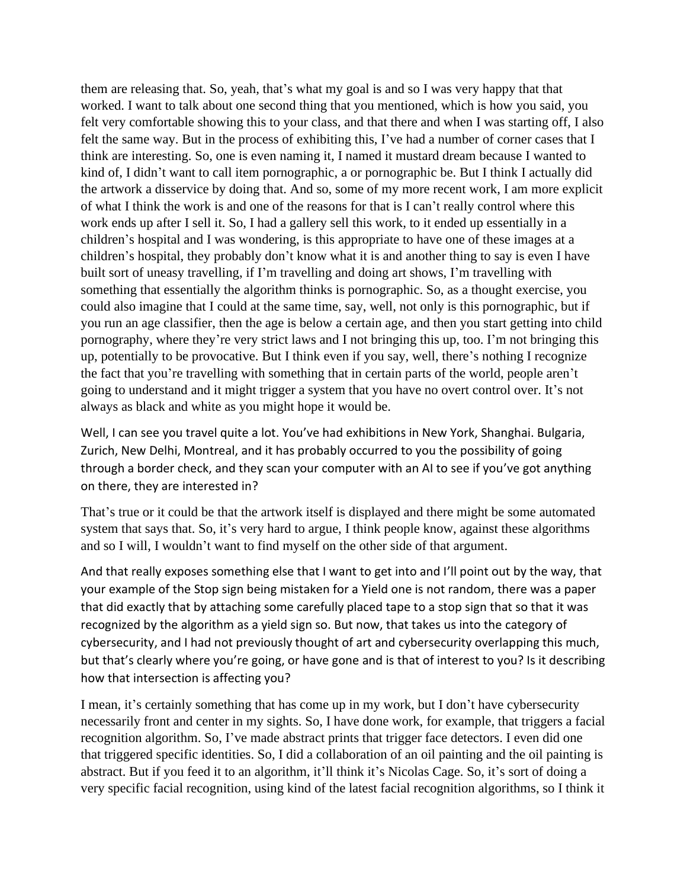them are releasing that. So, yeah, that's what my goal is and so I was very happy that that worked. I want to talk about one second thing that you mentioned, which is how you said, you felt very comfortable showing this to your class, and that there and when I was starting off, I also felt the same way. But in the process of exhibiting this, I've had a number of corner cases that I think are interesting. So, one is even naming it, I named it mustard dream because I wanted to kind of, I didn't want to call item pornographic, a or pornographic be. But I think I actually did the artwork a disservice by doing that. And so, some of my more recent work, I am more explicit of what I think the work is and one of the reasons for that is I can't really control where this work ends up after I sell it. So, I had a gallery sell this work, to it ended up essentially in a children's hospital and I was wondering, is this appropriate to have one of these images at a children's hospital, they probably don't know what it is and another thing to say is even I have built sort of uneasy travelling, if I'm travelling and doing art shows, I'm travelling with something that essentially the algorithm thinks is pornographic. So, as a thought exercise, you could also imagine that I could at the same time, say, well, not only is this pornographic, but if you run an age classifier, then the age is below a certain age, and then you start getting into child pornography, where they're very strict laws and I not bringing this up, too. I'm not bringing this up, potentially to be provocative. But I think even if you say, well, there's nothing I recognize the fact that you're travelling with something that in certain parts of the world, people aren't going to understand and it might trigger a system that you have no overt control over. It's not always as black and white as you might hope it would be.

Well, I can see you travel quite a lot. You've had exhibitions in New York, Shanghai. Bulgaria, Zurich, New Delhi, Montreal, and it has probably occurred to you the possibility of going through a border check, and they scan your computer with an AI to see if you've got anything on there, they are interested in?

That's true or it could be that the artwork itself is displayed and there might be some automated system that says that. So, it's very hard to argue, I think people know, against these algorithms and so I will, I wouldn't want to find myself on the other side of that argument.

And that really exposes something else that I want to get into and I'll point out by the way, that your example of the Stop sign being mistaken for a Yield one is not random, there was a paper that did exactly that by attaching some carefully placed tape to a stop sign that so that it was recognized by the algorithm as a yield sign so. But now, that takes us into the category of cybersecurity, and I had not previously thought of art and cybersecurity overlapping this much, but that's clearly where you're going, or have gone and is that of interest to you? Is it describing how that intersection is affecting you?

I mean, it's certainly something that has come up in my work, but I don't have cybersecurity necessarily front and center in my sights. So, I have done work, for example, that triggers a facial recognition algorithm. So, I've made abstract prints that trigger face detectors. I even did one that triggered specific identities. So, I did a collaboration of an oil painting and the oil painting is abstract. But if you feed it to an algorithm, it'll think it's Nicolas Cage. So, it's sort of doing a very specific facial recognition, using kind of the latest facial recognition algorithms, so I think it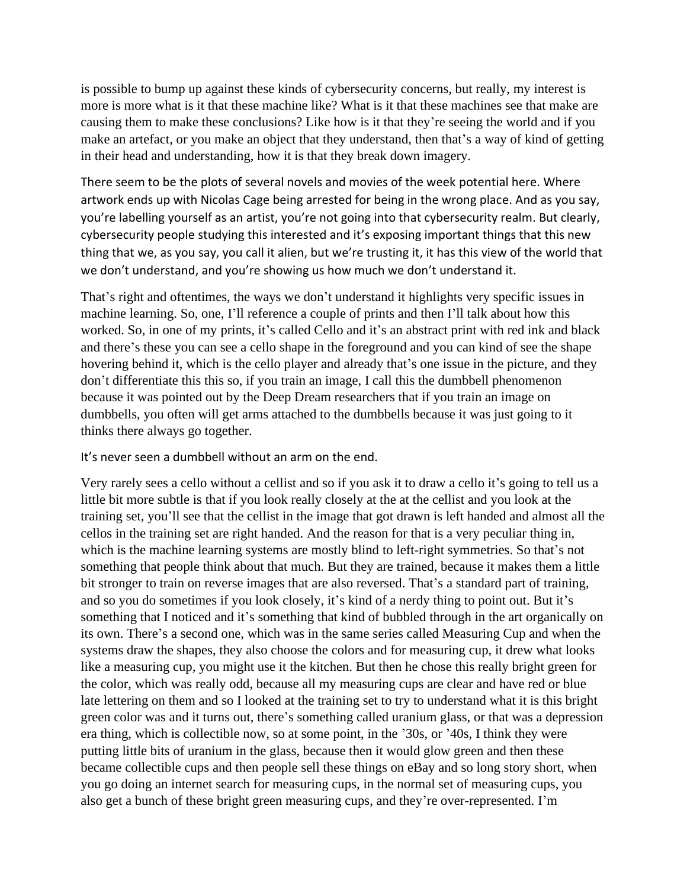is possible to bump up against these kinds of cybersecurity concerns, but really, my interest is more is more what is it that these machine like? What is it that these machines see that make are causing them to make these conclusions? Like how is it that they're seeing the world and if you make an artefact, or you make an object that they understand, then that's a way of kind of getting in their head and understanding, how it is that they break down imagery.

There seem to be the plots of several novels and movies of the week potential here. Where artwork ends up with Nicolas Cage being arrested for being in the wrong place. And as you say, you're labelling yourself as an artist, you're not going into that cybersecurity realm. But clearly, cybersecurity people studying this interested and it's exposing important things that this new thing that we, as you say, you call it alien, but we're trusting it, it has this view of the world that we don't understand, and you're showing us how much we don't understand it.

That's right and oftentimes, the ways we don't understand it highlights very specific issues in machine learning. So, one, I'll reference a couple of prints and then I'll talk about how this worked. So, in one of my prints, it's called Cello and it's an abstract print with red ink and black and there's these you can see a cello shape in the foreground and you can kind of see the shape hovering behind it, which is the cello player and already that's one issue in the picture, and they don't differentiate this this so, if you train an image, I call this the dumbbell phenomenon because it was pointed out by the Deep Dream researchers that if you train an image on dumbbells, you often will get arms attached to the dumbbells because it was just going to it thinks there always go together.

It's never seen a dumbbell without an arm on the end.

Very rarely sees a cello without a cellist and so if you ask it to draw a cello it's going to tell us a little bit more subtle is that if you look really closely at the at the cellist and you look at the training set, you'll see that the cellist in the image that got drawn is left handed and almost all the cellos in the training set are right handed. And the reason for that is a very peculiar thing in, which is the machine learning systems are mostly blind to left-right symmetries. So that's not something that people think about that much. But they are trained, because it makes them a little bit stronger to train on reverse images that are also reversed. That's a standard part of training, and so you do sometimes if you look closely, it's kind of a nerdy thing to point out. But it's something that I noticed and it's something that kind of bubbled through in the art organically on its own. There's a second one, which was in the same series called Measuring Cup and when the systems draw the shapes, they also choose the colors and for measuring cup, it drew what looks like a measuring cup, you might use it the kitchen. But then he chose this really bright green for the color, which was really odd, because all my measuring cups are clear and have red or blue late lettering on them and so I looked at the training set to try to understand what it is this bright green color was and it turns out, there's something called uranium glass, or that was a depression era thing, which is collectible now, so at some point, in the '30s, or '40s, I think they were putting little bits of uranium in the glass, because then it would glow green and then these became collectible cups and then people sell these things on eBay and so long story short, when you go doing an internet search for measuring cups, in the normal set of measuring cups, you also get a bunch of these bright green measuring cups, and they're over-represented. I'm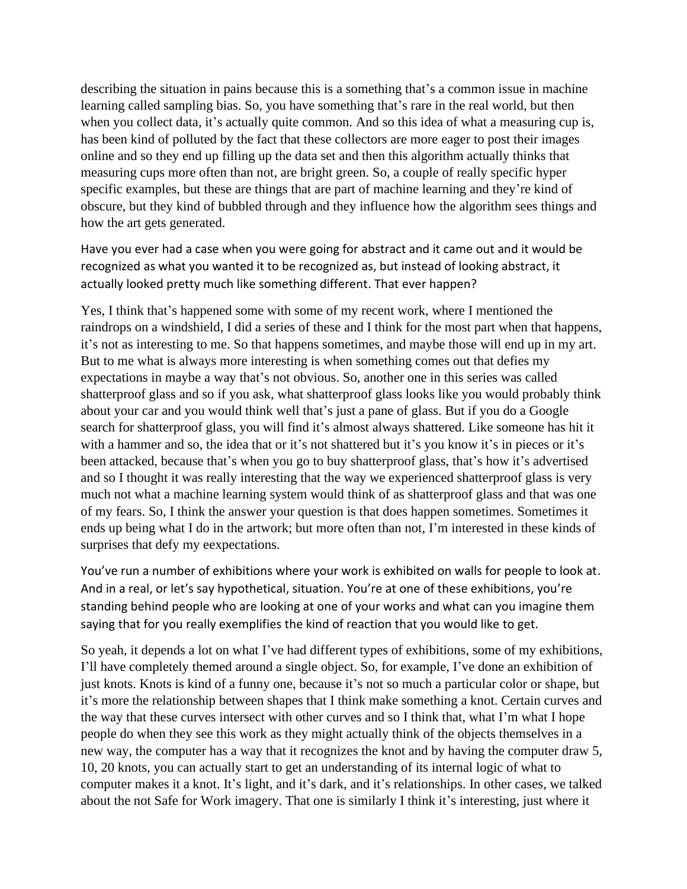describing the situation in pains because this is a something that's a common issue in machine learning called sampling bias. So, you have something that's rare in the real world, but then when you collect data, it's actually quite common. And so this idea of what a measuring cup is, has been kind of polluted by the fact that these collectors are more eager to post their images online and so they end up filling up the data set and then this algorithm actually thinks that measuring cups more often than not, are bright green. So, a couple of really specific hyper specific examples, but these are things that are part of machine learning and they're kind of obscure, but they kind of bubbled through and they influence how the algorithm sees things and how the art gets generated.

Have you ever had a case when you were going for abstract and it came out and it would be recognized as what you wanted it to be recognized as, but instead of looking abstract, it actually looked pretty much like something different. That ever happen?

Yes, I think that's happened some with some of my recent work, where I mentioned the raindrops on a windshield, I did a series of these and I think for the most part when that happens, it's not as interesting to me. So that happens sometimes, and maybe those will end up in my art. But to me what is always more interesting is when something comes out that defies my expectations in maybe a way that's not obvious. So, another one in this series was called shatterproof glass and so if you ask, what shatterproof glass looks like you would probably think about your car and you would think well that's just a pane of glass. But if you do a Google search for shatterproof glass, you will find it's almost always shattered. Like someone has hit it with a hammer and so, the idea that or it's not shattered but it's you know it's in pieces or it's been attacked, because that's when you go to buy shatterproof glass, that's how it's advertised and so I thought it was really interesting that the way we experienced shatterproof glass is very much not what a machine learning system would think of as shatterproof glass and that was one of my fears. So, I think the answer your question is that does happen sometimes. Sometimes it ends up being what I do in the artwork; but more often than not, I'm interested in these kinds of surprises that defy my eexpectations.

You've run a number of exhibitions where your work is exhibited on walls for people to look at. And in a real, or let's say hypothetical, situation. You're at one of these exhibitions, you're standing behind people who are looking at one of your works and what can you imagine them saying that for you really exemplifies the kind of reaction that you would like to get.

So yeah, it depends a lot on what I've had different types of exhibitions, some of my exhibitions, I'll have completely themed around a single object. So, for example, I've done an exhibition of just knots. Knots is kind of a funny one, because it's not so much a particular color or shape, but it's more the relationship between shapes that I think make something a knot. Certain curves and the way that these curves intersect with other curves and so I think that, what I'm what I hope people do when they see this work as they might actually think of the objects themselves in a new way, the computer has a way that it recognizes the knot and by having the computer draw 5, 10, 20 knots, you can actually start to get an understanding of its internal logic of what to computer makes it a knot. It's light, and it's dark, and it's relationships. In other cases, we talked about the not Safe for Work imagery. That one is similarly I think it's interesting, just where it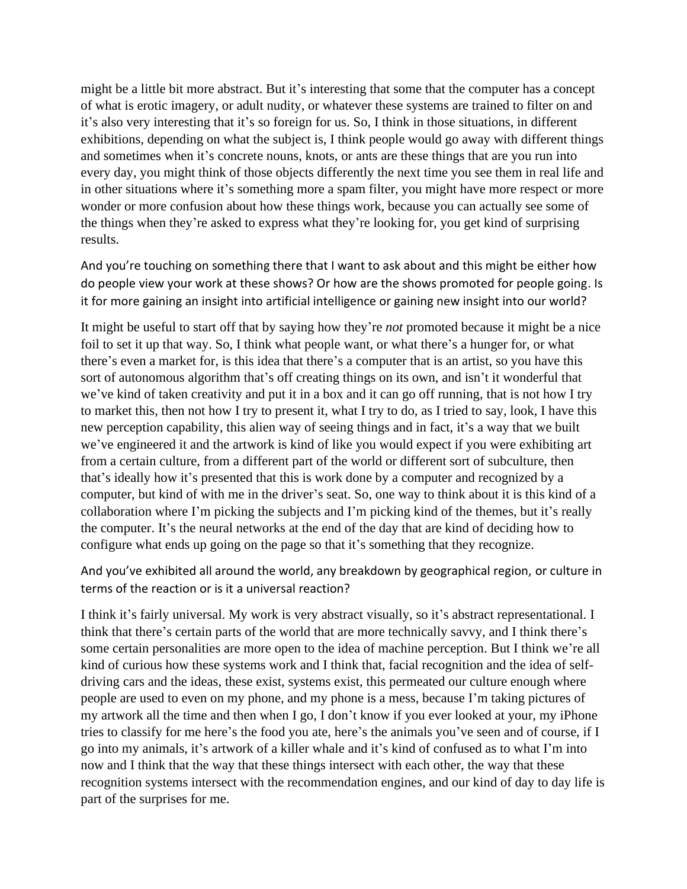might be a little bit more abstract. But it's interesting that some that the computer has a concept of what is erotic imagery, or adult nudity, or whatever these systems are trained to filter on and it's also very interesting that it's so foreign for us. So, I think in those situations, in different exhibitions, depending on what the subject is, I think people would go away with different things and sometimes when it's concrete nouns, knots, or ants are these things that are you run into every day, you might think of those objects differently the next time you see them in real life and in other situations where it's something more a spam filter, you might have more respect or more wonder or more confusion about how these things work, because you can actually see some of the things when they're asked to express what they're looking for, you get kind of surprising results.

And you're touching on something there that I want to ask about and this might be either how do people view your work at these shows? Or how are the shows promoted for people going. Is it for more gaining an insight into artificial intelligence or gaining new insight into our world?

It might be useful to start off that by saying how they're *not* promoted because it might be a nice foil to set it up that way. So, I think what people want, or what there's a hunger for, or what there's even a market for, is this idea that there's a computer that is an artist, so you have this sort of autonomous algorithm that's off creating things on its own, and isn't it wonderful that we've kind of taken creativity and put it in a box and it can go off running, that is not how I try to market this, then not how I try to present it, what I try to do, as I tried to say, look, I have this new perception capability, this alien way of seeing things and in fact, it's a way that we built we've engineered it and the artwork is kind of like you would expect if you were exhibiting art from a certain culture, from a different part of the world or different sort of subculture, then that's ideally how it's presented that this is work done by a computer and recognized by a computer, but kind of with me in the driver's seat. So, one way to think about it is this kind of a collaboration where I'm picking the subjects and I'm picking kind of the themes, but it's really the computer. It's the neural networks at the end of the day that are kind of deciding how to configure what ends up going on the page so that it's something that they recognize.

And you've exhibited all around the world, any breakdown by geographical region, or culture in terms of the reaction or is it a universal reaction?

I think it's fairly universal. My work is very abstract visually, so it's abstract representational. I think that there's certain parts of the world that are more technically savvy, and I think there's some certain personalities are more open to the idea of machine perception. But I think we're all kind of curious how these systems work and I think that, facial recognition and the idea of selfdriving cars and the ideas, these exist, systems exist, this permeated our culture enough where people are used to even on my phone, and my phone is a mess, because I'm taking pictures of my artwork all the time and then when I go, I don't know if you ever looked at your, my iPhone tries to classify for me here's the food you ate, here's the animals you've seen and of course, if I go into my animals, it's artwork of a killer whale and it's kind of confused as to what I'm into now and I think that the way that these things intersect with each other, the way that these recognition systems intersect with the recommendation engines, and our kind of day to day life is part of the surprises for me.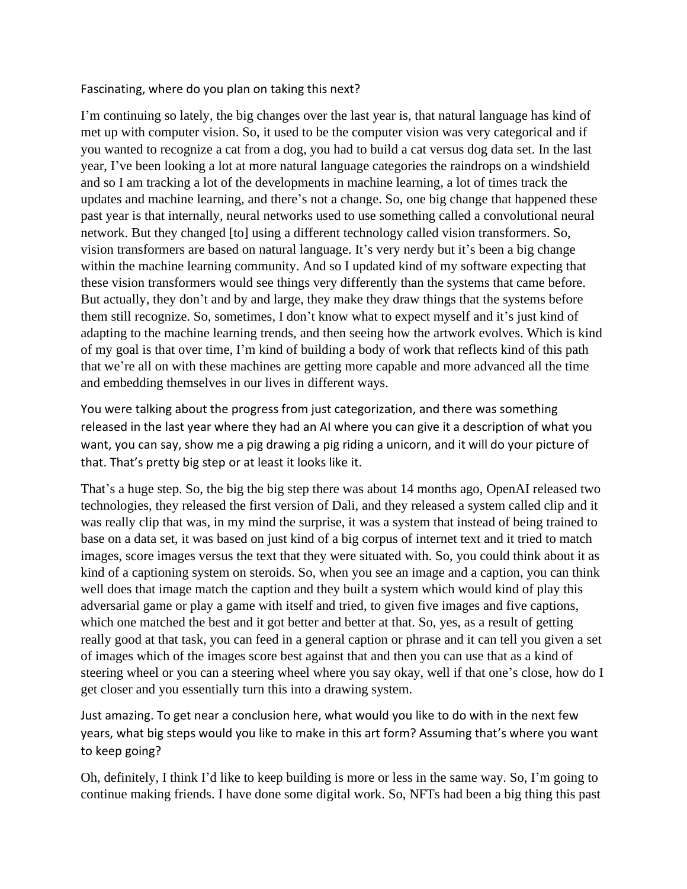Fascinating, where do you plan on taking this next?

I'm continuing so lately, the big changes over the last year is, that natural language has kind of met up with computer vision. So, it used to be the computer vision was very categorical and if you wanted to recognize a cat from a dog, you had to build a cat versus dog data set. In the last year, I've been looking a lot at more natural language categories the raindrops on a windshield and so I am tracking a lot of the developments in machine learning, a lot of times track the updates and machine learning, and there's not a change. So, one big change that happened these past year is that internally, neural networks used to use something called a convolutional neural network. But they changed [to] using a different technology called vision transformers. So, vision transformers are based on natural language. It's very nerdy but it's been a big change within the machine learning community. And so I updated kind of my software expecting that these vision transformers would see things very differently than the systems that came before. But actually, they don't and by and large, they make they draw things that the systems before them still recognize. So, sometimes, I don't know what to expect myself and it's just kind of adapting to the machine learning trends, and then seeing how the artwork evolves. Which is kind of my goal is that over time, I'm kind of building a body of work that reflects kind of this path that we're all on with these machines are getting more capable and more advanced all the time and embedding themselves in our lives in different ways.

You were talking about the progress from just categorization, and there was something released in the last year where they had an AI where you can give it a description of what you want, you can say, show me a pig drawing a pig riding a unicorn, and it will do your picture of that. That's pretty big step or at least it looks like it.

That's a huge step. So, the big the big step there was about 14 months ago, OpenAI released two technologies, they released the first version of Dali, and they released a system called clip and it was really clip that was, in my mind the surprise, it was a system that instead of being trained to base on a data set, it was based on just kind of a big corpus of internet text and it tried to match images, score images versus the text that they were situated with. So, you could think about it as kind of a captioning system on steroids. So, when you see an image and a caption, you can think well does that image match the caption and they built a system which would kind of play this adversarial game or play a game with itself and tried, to given five images and five captions, which one matched the best and it got better and better at that. So, yes, as a result of getting really good at that task, you can feed in a general caption or phrase and it can tell you given a set of images which of the images score best against that and then you can use that as a kind of steering wheel or you can a steering wheel where you say okay, well if that one's close, how do I get closer and you essentially turn this into a drawing system.

Just amazing. To get near a conclusion here, what would you like to do with in the next few years, what big steps would you like to make in this art form? Assuming that's where you want to keep going?

Oh, definitely, I think I'd like to keep building is more or less in the same way. So, I'm going to continue making friends. I have done some digital work. So, NFTs had been a big thing this past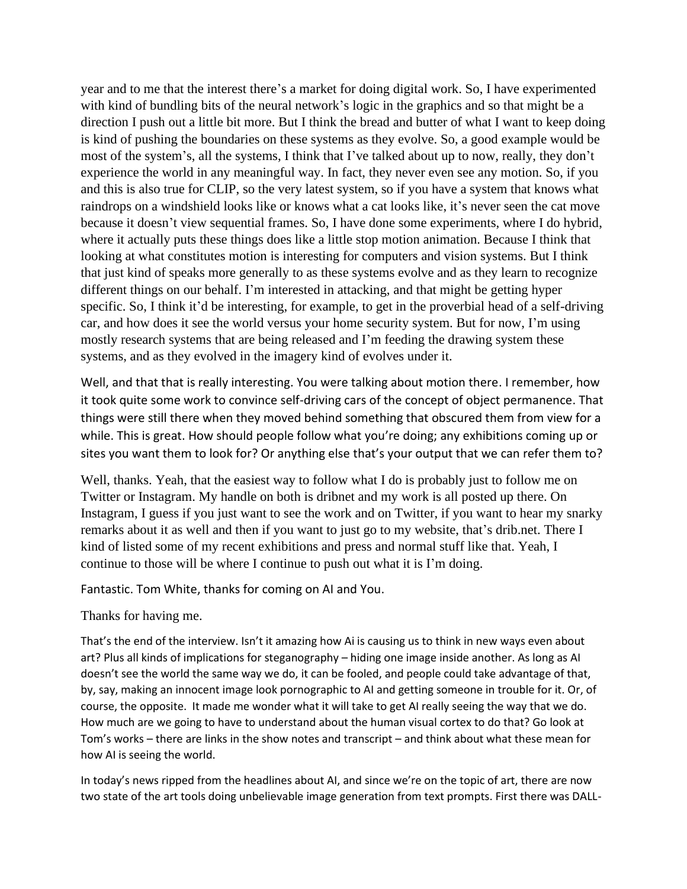year and to me that the interest there's a market for doing digital work. So, I have experimented with kind of bundling bits of the neural network's logic in the graphics and so that might be a direction I push out a little bit more. But I think the bread and butter of what I want to keep doing is kind of pushing the boundaries on these systems as they evolve. So, a good example would be most of the system's, all the systems, I think that I've talked about up to now, really, they don't experience the world in any meaningful way. In fact, they never even see any motion. So, if you and this is also true for CLIP, so the very latest system, so if you have a system that knows what raindrops on a windshield looks like or knows what a cat looks like, it's never seen the cat move because it doesn't view sequential frames. So, I have done some experiments, where I do hybrid, where it actually puts these things does like a little stop motion animation. Because I think that looking at what constitutes motion is interesting for computers and vision systems. But I think that just kind of speaks more generally to as these systems evolve and as they learn to recognize different things on our behalf. I'm interested in attacking, and that might be getting hyper specific. So, I think it'd be interesting, for example, to get in the proverbial head of a self-driving car, and how does it see the world versus your home security system. But for now, I'm using mostly research systems that are being released and I'm feeding the drawing system these systems, and as they evolved in the imagery kind of evolves under it.

Well, and that that is really interesting. You were talking about motion there. I remember, how it took quite some work to convince self-driving cars of the concept of object permanence. That things were still there when they moved behind something that obscured them from view for a while. This is great. How should people follow what you're doing; any exhibitions coming up or sites you want them to look for? Or anything else that's your output that we can refer them to?

Well, thanks. Yeah, that the easiest way to follow what I do is probably just to follow me on Twitter or Instagram. My handle on both is dribnet and my work is all posted up there. On Instagram, I guess if you just want to see the work and on Twitter, if you want to hear my snarky remarks about it as well and then if you want to just go to my website, that's drib.net. There I kind of listed some of my recent exhibitions and press and normal stuff like that. Yeah, I continue to those will be where I continue to push out what it is I'm doing.

Fantastic. Tom White, thanks for coming on AI and You.

Thanks for having me.

That's the end of the interview. Isn't it amazing how Ai is causing us to think in new ways even about art? Plus all kinds of implications for steganography – hiding one image inside another. As long as AI doesn't see the world the same way we do, it can be fooled, and people could take advantage of that, by, say, making an innocent image look pornographic to AI and getting someone in trouble for it. Or, of course, the opposite. It made me wonder what it will take to get AI really seeing the way that we do. How much are we going to have to understand about the human visual cortex to do that? Go look at Tom's works – there are links in the show notes and transcript – and think about what these mean for how AI is seeing the world.

In today's news ripped from the headlines about AI, and since we're on the topic of art, there are now two state of the art tools doing unbelievable image generation from text prompts. First there was DALL-